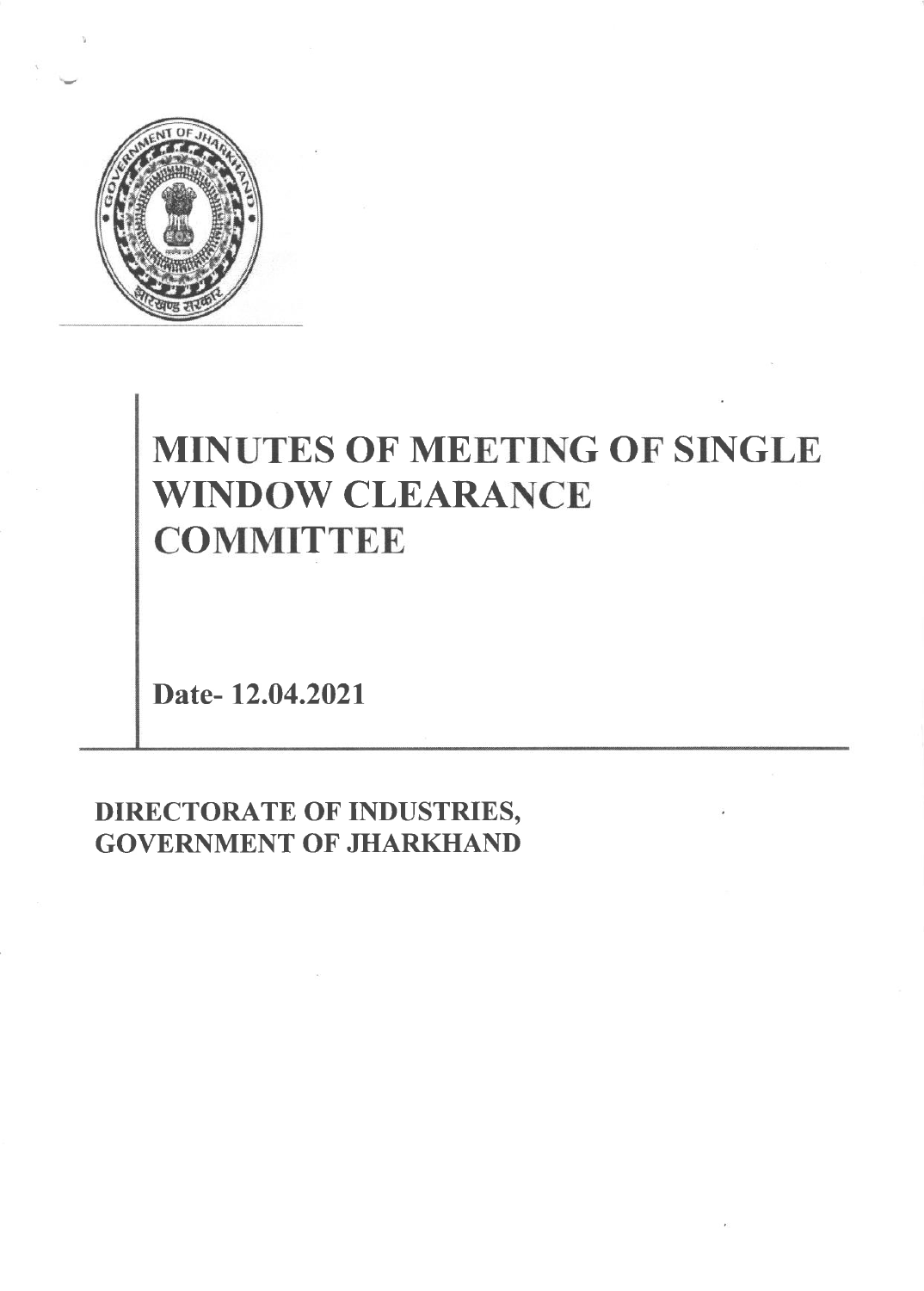

# MINUTES OF MEETING OF SINGLE WINDOW CLEARANCE **COMMITTEE**

Date- 12.04.2021

DIRECTORATE OF INDUSTRIES, **GOVERNMENT OF JHARKHAND**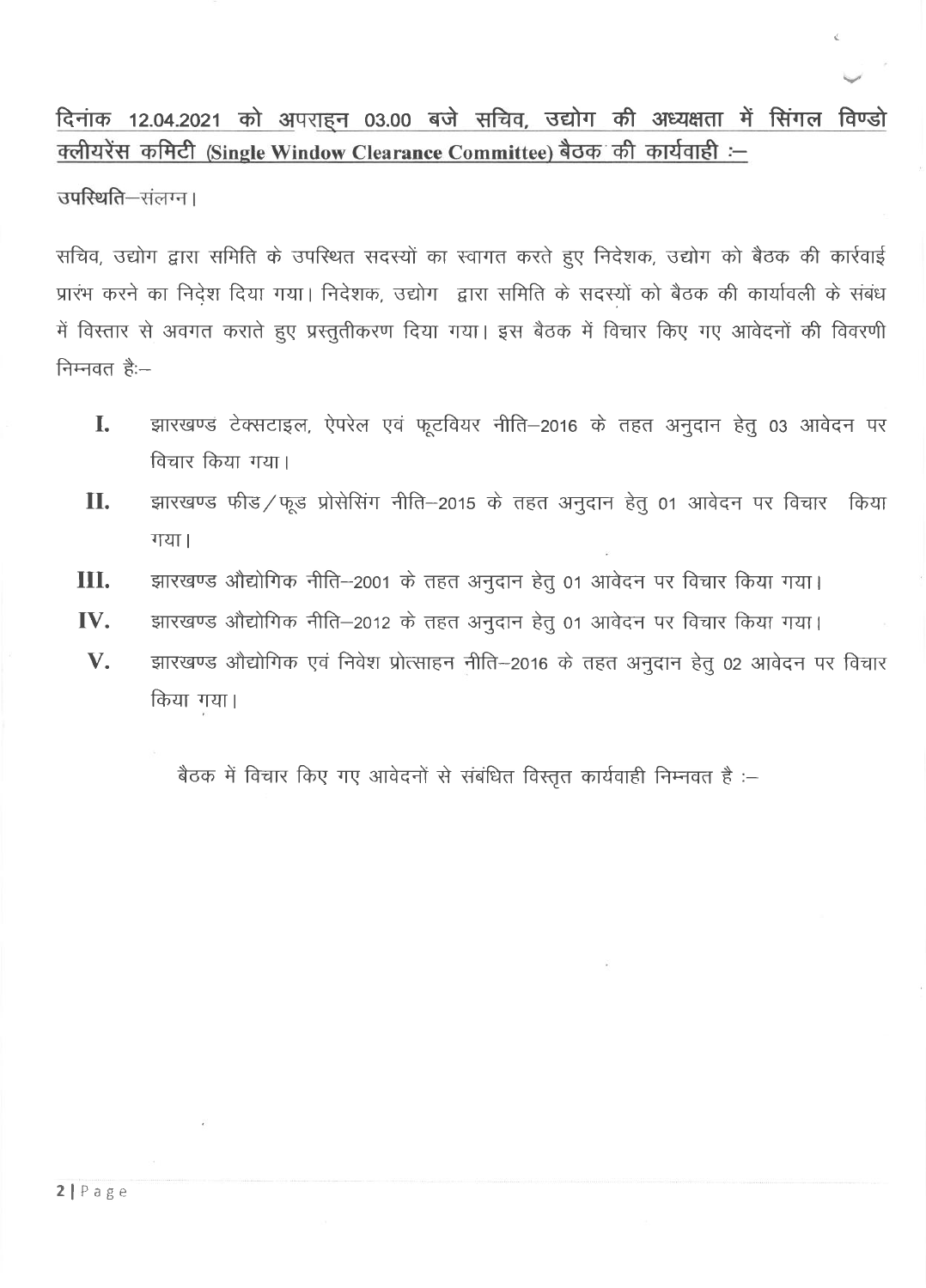#### दिनांक 12.04.2021 को अपराहन 03.00 बजे सचिव, उद्योग की अध्यक्षता में सिंगल विण्डो क्लीयरेंस कमिटी (Single Window Clearance Committee) बैठक की कार्यवाही :-

उपस्थिति-संलग्न।

सचिव, उद्योग द्वारा समिति के उपस्थित सदस्यों का स्वागत करते हुए निदेशक, उद्योग को बैठक की कार्रवाई प्रारंभ करने का निदेश दिया गया। निदेशक, उद्योग द्वारा समिति के सदस्यों को बैठक की कार्यावली के संबंध में विस्तार से अवगत कराते हुए प्रस्तुतीकरण दिया गया। इस बैठक में विचार किए गए आवेदनों की विवरणी निम्नवत है:-

- L झारखण्ड टेक्सटाइल, ऐपरेल एवं फूटवियर नीति-2016 के तहत अनुदान हेतु 03 आवेदन पर विचार किया गया।
- **II.** झारखण्ड फीड/फूड प्रोसेसिंग नीति-2015 के तहत अनुदान हेतु 01 आवेदन पर विचार किया गया।
- झारखण्ड औद्योगिक नीति-2001 के तहत अनुदान हेतु 01 आवेदन पर विचार किया गया। Ш.
- IV. झारखण्ड औद्योगिक नीति-2012 के तहत अनुदान हेतू 01 आवेदन पर विचार किया गया।
- V. झारखण्ड औद्योगिक एवं निवेश प्रोत्साहन नीति-2016 के तहत अनुदान हेतु 02 आवेदन पर विचार किया गया।

बैठक में विचार किए गए आवेदनों से संबंधित विस्तृत कार्यवाही निम्नवत है :-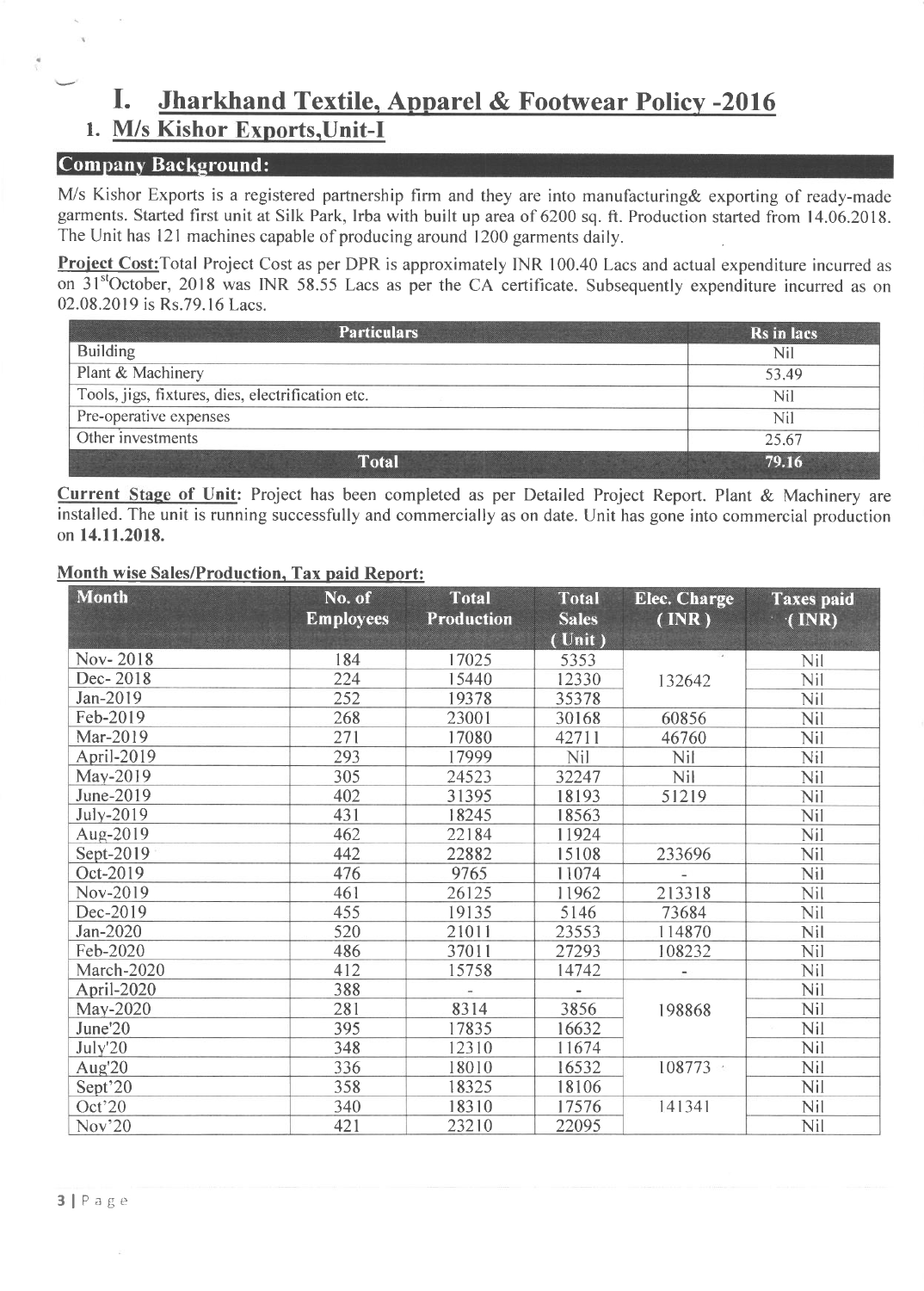## I. Jharkhand Textile. Annarel & Footwear Policv -2016

### 1. M/s Kishor Exports, Unit-I

#### Company Background:

M/s Kishor Exports is a registered partnership firm and they are into manufacturing & exporting of ready-made garments. Started first unit at Silk Park, Irba with built up area of 6200 sq. ft. Production started from 14.06.2018. The Unit has l2l machines capable of producing around 1200 garments daily.

**Project Cost:**Total Project Cost as per DPR is approximately INR 100.40 Lacs and actual expenditure incurred as on 31<sup>st</sup>October, 2018 was INR 58.55 Lacs as per the CA certificate. Subsequently expenditure incurred as on<br>02.08.2019 is Rs.79.16 Lacs 02.08.2019 is Rs.79.16 Lacs.

| <b>Particulars</b>                                | Rs in lacs |
|---------------------------------------------------|------------|
| <b>Building</b>                                   | Nil        |
| Plant & Machinery                                 | 53.49      |
| Tools, jigs, fixtures, dies, electrification etc. | Nil        |
| Pre-operative expenses                            | Nil        |
| Other investments                                 | 25.67      |
| <b>Total</b>                                      | 79.16      |

Current Stage of Unit: Project has been completed as per Detailed Project Report. Plant & Machinery are installed. The unit is running successfully and commercially as on date. Unit has gone into commercial production on 14.11.2018.

#### Month wise Sales/Production, Tax paid Report:

| <b>Month</b>       | No. of<br><b>Employees</b> | <b>Total</b><br>Production | <b>Total</b><br><b>Sales</b><br>(Unit) | <b>Elec. Charge</b><br>$(\mathbf{INR})$ | <b>Taxes</b> paid<br>$\cdot$ (INR) |
|--------------------|----------------------------|----------------------------|----------------------------------------|-----------------------------------------|------------------------------------|
| Nov-2018           | 184                        | 17025                      | 5353                                   |                                         | Nil                                |
| Dec-2018           | 224                        | 15440                      | 12330                                  | 132642                                  | Nil                                |
| Jan-2019           | 252                        | 19378                      | 35378                                  |                                         | Nil                                |
| Feb-2019           | 268                        | 23001                      | 30168                                  | 60856                                   | Nil                                |
| Mar-2019           | 271                        | 17080                      | 42711                                  | 46760                                   | Nil                                |
| April-2019         | 293                        | 17999                      | <b>Nil</b>                             | Nil                                     | Nil                                |
| May-2019           | 305                        | 24523                      | 32247                                  | Nil                                     | Nil                                |
| June-2019          | 402                        | 31395                      | 18193                                  | 51219                                   | Nil                                |
| July-2019          | 431                        | 18245                      | 18563                                  |                                         | <b>Nil</b>                         |
| Aug-2019           | 462                        | 22184                      | 11924                                  |                                         | Nil                                |
| Sept-2019          | 442                        | 22882                      | 15108                                  | 233696                                  | Nil                                |
| Oct-2019           | 476                        | 9765                       | 11074                                  |                                         | Nil                                |
| Nov-2019           | 461                        | 26125                      | 11962                                  | 213318                                  | Nil                                |
| Dec-2019           | 455                        | 19135                      | 5146                                   | 73684                                   | Nil                                |
| Jan-2020           | 520                        | 21011                      | 23553                                  | 114870                                  | Nil                                |
| Feb-2020           | 486                        | 37011                      | 27293                                  | 108232                                  | Nil                                |
| March-2020         | 412                        | 15758                      | 14742                                  |                                         | Nil                                |
| April-2020         | 388                        |                            |                                        |                                         | Nil                                |
| May-2020           | 281                        | 8314                       | 3856                                   | 198868                                  | Nil                                |
| June'20            | 395                        | 17835                      | 16632                                  |                                         | Nil                                |
| July'20            | 348                        | 12310                      | 11674                                  |                                         | Nil                                |
| Aug'20             | 336                        | 18010                      | 16532                                  | $108773 -$                              | Nil                                |
| Sept <sup>20</sup> | 358                        | 18325                      | 18106                                  |                                         | Nil                                |
| Oct'20             | 340                        | 18310                      | 17576                                  | 141341                                  | Nil                                |
| Nov <sup>20</sup>  | 421                        | 23210                      | 22095                                  |                                         | Nil                                |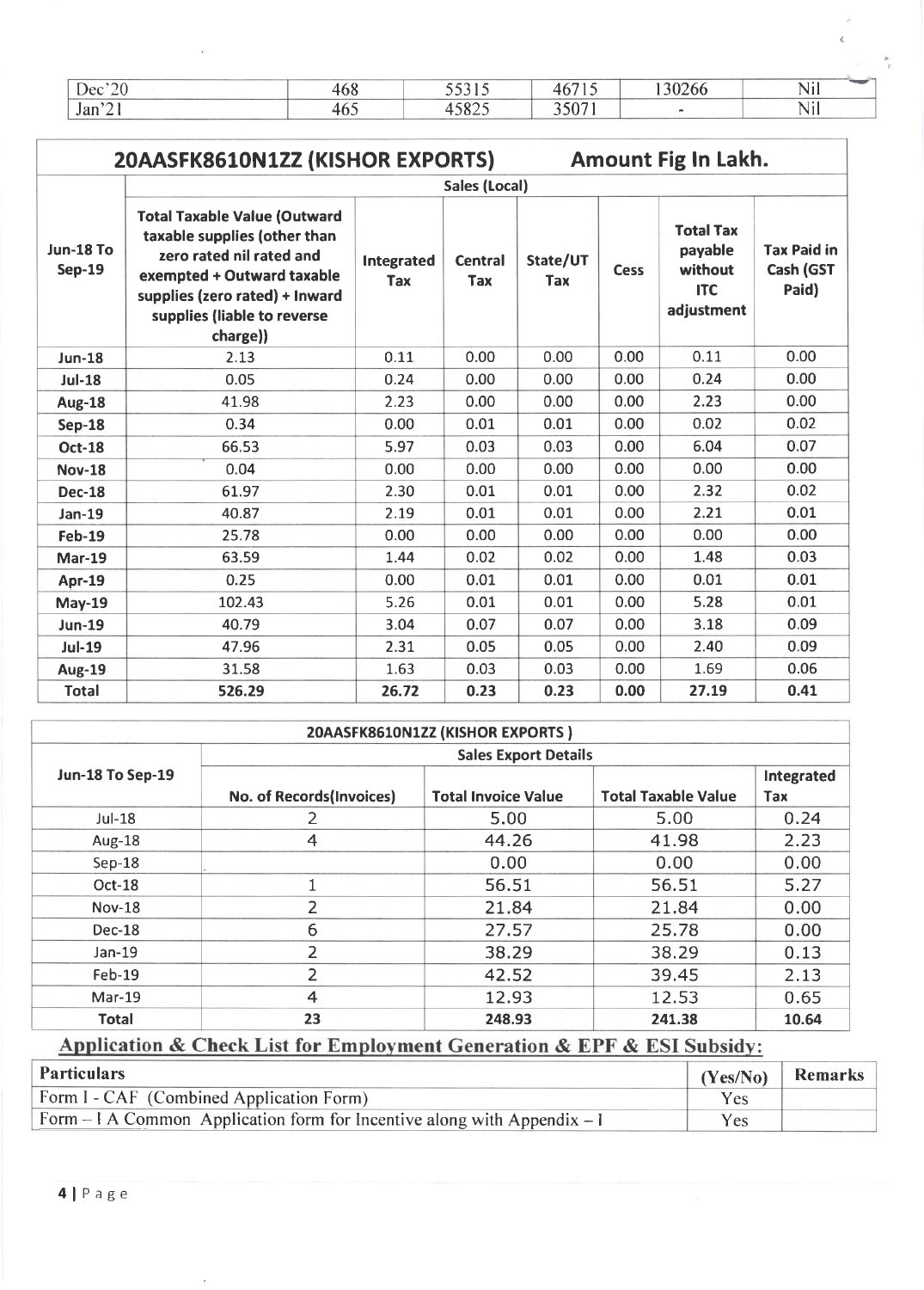| $\sim$ $\sim$ $\sim$<br><b>Dec</b> | $\sqrt{2}$<br>tvo | .                                    | ----<br>$\checkmark$ | 0.0000<br>.oc |           |
|------------------------------------|-------------------|--------------------------------------|----------------------|---------------|-----------|
| $\sim$<br>Jan                      | ™                 | $\sim$ 0.0 $\sim$<br>$\sim$<br>. ت پ | $F \wedge T$         |               | .<br>,,,, |

a

| 20AASFK8610N1ZZ (KISHOR EXPORTS)<br><b>Amount Fig In Lakh.</b> |                                                                                                                                                                                                            |                   |                              |                        |      |                                                                    |                                          |  |  |  |  |  |
|----------------------------------------------------------------|------------------------------------------------------------------------------------------------------------------------------------------------------------------------------------------------------------|-------------------|------------------------------|------------------------|------|--------------------------------------------------------------------|------------------------------------------|--|--|--|--|--|
|                                                                |                                                                                                                                                                                                            |                   | <b>Sales (Local)</b>         |                        |      |                                                                    |                                          |  |  |  |  |  |
| <b>Jun-18 To</b><br><b>Sep-19</b>                              | <b>Total Taxable Value (Outward</b><br>taxable supplies (other than<br>zero rated nil rated and<br>exempted + Outward taxable<br>supplies (zero rated) + Inward<br>supplies (liable to reverse<br>charge)) | Integrated<br>Tax | <b>Central</b><br><b>Tax</b> | State/UT<br><b>Tax</b> | Cess | <b>Total Tax</b><br>payable<br>without<br><b>ITC</b><br>adjustment | <b>Tax Paid in</b><br>Cash (GST<br>Paid) |  |  |  |  |  |
| <b>Jun-18</b>                                                  | 2.13                                                                                                                                                                                                       | 0.11              | 0.00                         | 0.00                   | 0.00 | 0.11                                                               | 0.00                                     |  |  |  |  |  |
| <b>Jul-18</b>                                                  | 0.05                                                                                                                                                                                                       | 0.24              | 0.00                         | 0.00                   | 0.00 | 0.24                                                               | 0.00                                     |  |  |  |  |  |
| Aug-18                                                         | 41.98                                                                                                                                                                                                      | 2.23              | 0.00                         | 0.00                   | 0.00 | 2.23                                                               | 0.00                                     |  |  |  |  |  |
| <b>Sep-18</b>                                                  | 0.34                                                                                                                                                                                                       | 0.00              | 0.01                         | 0.01                   | 0.00 | 0.02                                                               | 0.02                                     |  |  |  |  |  |
| <b>Oct-18</b>                                                  | 66.53                                                                                                                                                                                                      | 5.97              | 0.03                         | 0.03                   | 0.00 | 6.04                                                               | 0.07                                     |  |  |  |  |  |
| <b>Nov-18</b>                                                  | 0.04                                                                                                                                                                                                       | 0.00              | 0.00                         | 0.00                   | 0.00 | 0.00                                                               | 0.00                                     |  |  |  |  |  |
| <b>Dec-18</b>                                                  | 61.97                                                                                                                                                                                                      | 2.30              | 0.01                         | 0.01                   | 0.00 | 2.32                                                               | 0.02                                     |  |  |  |  |  |
| Jan-19                                                         | 40.87                                                                                                                                                                                                      | 2.19              | 0.01                         | 0.01                   | 0.00 | 2.21                                                               | 0.01                                     |  |  |  |  |  |
| <b>Feb-19</b>                                                  | 25.78                                                                                                                                                                                                      | 0.00              | 0.00                         | 0.00                   | 0.00 | 0.00                                                               | 0.00                                     |  |  |  |  |  |
| <b>Mar-19</b>                                                  | 63.59                                                                                                                                                                                                      | 1.44              | 0.02                         | 0.02                   | 0.00 | 1.48                                                               | 0.03                                     |  |  |  |  |  |
| Apr-19                                                         | 0.25                                                                                                                                                                                                       | 0.00              | 0.01                         | 0.01                   | 0.00 | 0.01                                                               | 0.01                                     |  |  |  |  |  |
| <b>May-19</b>                                                  | 102.43                                                                                                                                                                                                     | 5.26              | 0.01                         | 0.01                   | 0.00 | 5.28                                                               | 0.01                                     |  |  |  |  |  |
| <b>Jun-19</b>                                                  | 40.79                                                                                                                                                                                                      | 3.04              | 0.07                         | 0.07                   | 0.00 | 3.18                                                               | 0.09                                     |  |  |  |  |  |
| <b>Jul-19</b>                                                  | 47.96                                                                                                                                                                                                      | 2.31              | 0.05                         | 0.05                   | 0.00 | 2.40                                                               | 0.09                                     |  |  |  |  |  |
| <b>Aug-19</b>                                                  | 31.58                                                                                                                                                                                                      | 1.63              | 0.03                         | 0.03                   | 0.00 | 1.69                                                               | 0.06                                     |  |  |  |  |  |
| <b>Total</b>                                                   | 526.29                                                                                                                                                                                                     | 26.72             | 0.23                         | 0.23                   | 0.00 | 27.19                                                              | 0.41                                     |  |  |  |  |  |

| 20AASFK8610N1ZZ (KISHOR EXPORTS) |                             |                            |                            |                   |  |  |  |  |  |  |
|----------------------------------|-----------------------------|----------------------------|----------------------------|-------------------|--|--|--|--|--|--|
|                                  | <b>Sales Export Details</b> |                            |                            |                   |  |  |  |  |  |  |
| Jun-18 To Sep-19                 | No. of Records(Invoices)    | <b>Total Invoice Value</b> | <b>Total Taxable Value</b> | Integrated<br>Tax |  |  |  |  |  |  |
| Jul-18                           |                             | 5.00                       | 5.00                       | 0.24              |  |  |  |  |  |  |
| Aug-18                           | 4                           | 44.26                      | 41.98                      | 2.23              |  |  |  |  |  |  |
| $Sep-18$                         |                             | 0.00                       | 0.00                       | 0.00              |  |  |  |  |  |  |
| Oct-18                           |                             | 56.51                      | 56.51                      | 5.27              |  |  |  |  |  |  |
| <b>Nov-18</b>                    | 2                           | 21.84                      | 21.84                      | 0.00              |  |  |  |  |  |  |
| Dec-18                           | 6                           | 27.57                      | 25.78                      | 0.00              |  |  |  |  |  |  |
| Jan-19                           | $\overline{2}$              | 38.29                      | 38.29                      | 0.13              |  |  |  |  |  |  |
| Feb-19                           | 2                           | 42.52                      | 39.45                      | 2.13              |  |  |  |  |  |  |
| Mar-19                           | $\overline{4}$              | 12.93                      | 12.53                      | 0.65              |  |  |  |  |  |  |
| <b>Total</b>                     | 23                          | 248.93                     | 241.38                     | 10.64             |  |  |  |  |  |  |

## Application & Check List for Employment Generation & EPF & ESI Subsidy:

| Particulars                                                                      | (Yes/No) | Remarks |
|----------------------------------------------------------------------------------|----------|---------|
| Form I - CAF (Combined Application Form)                                         | Yes      |         |
| $\vert$ Form – I A Common Application form for Incentive along with Appendix – I | Yes      |         |

 $\epsilon$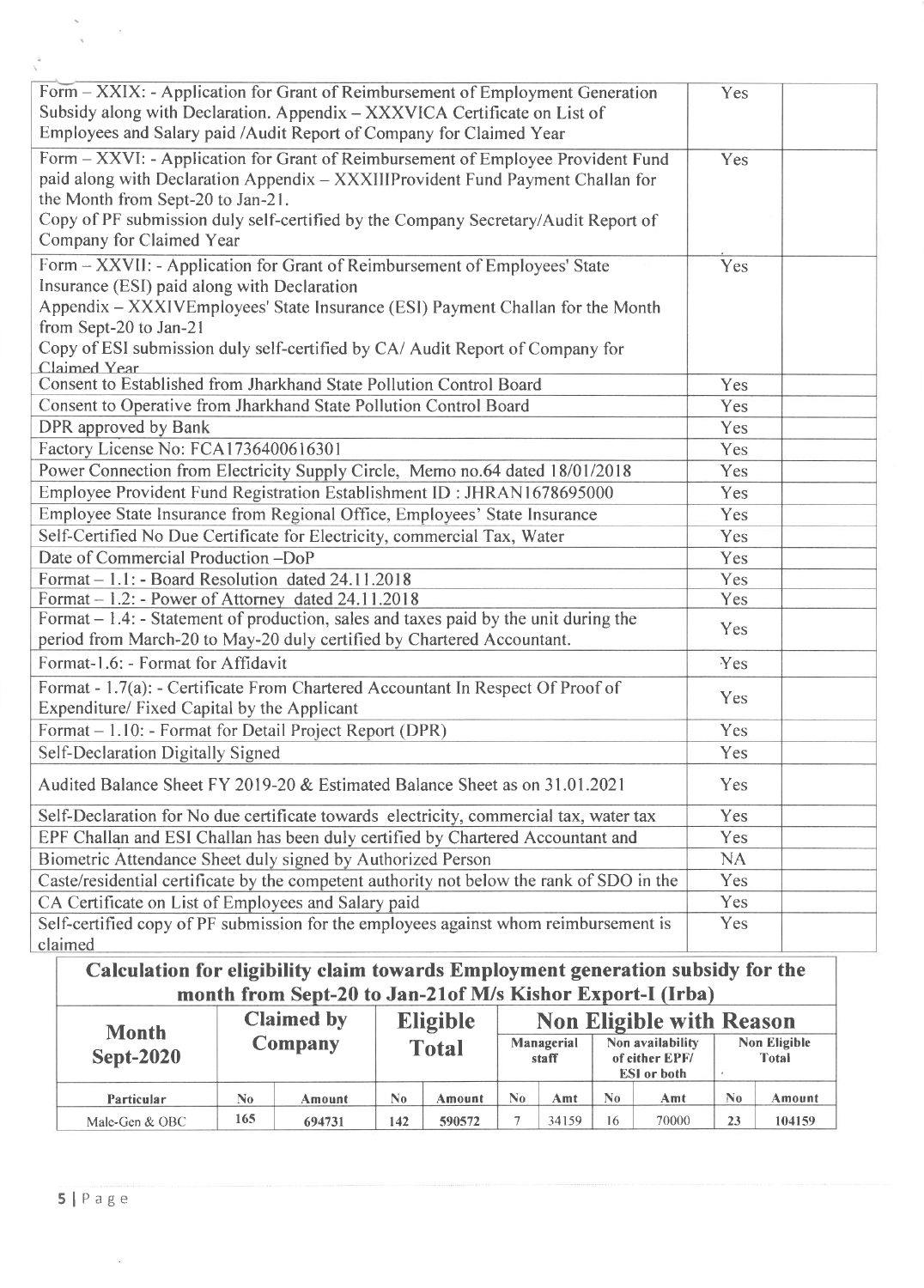| Form – XXIX: - Application for Grant of Reimbursement of Employment Generation<br>Subsidy along with Declaration. Appendix - XXXVICA Certificate on List of<br>Employees and Salary paid /Audit Report of Company for Claimed Year                                                                                                    | Yes       |
|---------------------------------------------------------------------------------------------------------------------------------------------------------------------------------------------------------------------------------------------------------------------------------------------------------------------------------------|-----------|
| Form - XXVI: - Application for Grant of Reimbursement of Employee Provident Fund<br>paid along with Declaration Appendix - XXXIIIProvident Fund Payment Challan for<br>the Month from Sept-20 to Jan-21.<br>Copy of PF submission duly self-certified by the Company Secretary/Audit Report of<br>Company for Claimed Year            | Yes       |
| Form - XXVII: - Application for Grant of Reimbursement of Employees' State<br>Insurance (ESI) paid along with Declaration<br>Appendix – XXXIVEmployees' State Insurance (ESI) Payment Challan for the Month<br>from Sept-20 to Jan-21<br>Copy of ESI submission duly self-certified by CA/Audit Report of Company for<br>Claimed Year | Yes       |
| Consent to Established from Jharkhand State Pollution Control Board                                                                                                                                                                                                                                                                   | Yes       |
| Consent to Operative from Jharkhand State Pollution Control Board                                                                                                                                                                                                                                                                     | Yes       |
| DPR approved by Bank                                                                                                                                                                                                                                                                                                                  | Yes       |
| Factory License No: FCA1736400616301                                                                                                                                                                                                                                                                                                  | Yes       |
| Power Connection from Electricity Supply Circle, Memo no.64 dated 18/01/2018                                                                                                                                                                                                                                                          | Yes       |
| Employee Provident Fund Registration Establishment ID: JHRAN1678695000                                                                                                                                                                                                                                                                | Yes       |
| Employee State Insurance from Regional Office, Employees' State Insurance                                                                                                                                                                                                                                                             | Yes       |
| Self-Certified No Due Certificate for Electricity, commercial Tax, Water                                                                                                                                                                                                                                                              | Yes       |
| Date of Commercial Production -DoP                                                                                                                                                                                                                                                                                                    | Yes       |
| Format - 1.1: - Board Resolution dated 24.11.2018                                                                                                                                                                                                                                                                                     | Yes       |
| Format $-1.2$ : - Power of Attorney dated 24.11.2018                                                                                                                                                                                                                                                                                  | Yes       |
| Format $-1.4$ : $-$ Statement of production, sales and taxes paid by the unit during the<br>period from March-20 to May-20 duly certified by Chartered Accountant.                                                                                                                                                                    | Yes       |
| Format-1.6: - Format for Affidavit                                                                                                                                                                                                                                                                                                    | Yes       |
| Format - 1.7(a): - Certificate From Chartered Accountant In Respect Of Proof of<br>Expenditure/ Fixed Capital by the Applicant                                                                                                                                                                                                        | Yes       |
| Format – 1.10: - Format for Detail Project Report (DPR)                                                                                                                                                                                                                                                                               | Yes       |
| Self-Declaration Digitally Signed                                                                                                                                                                                                                                                                                                     | Yes       |
| Audited Balance Sheet FY 2019-20 & Estimated Balance Sheet as on 31,01.2021                                                                                                                                                                                                                                                           | Yes       |
| Self-Declaration for No due certificate towards electricity, commercial tax, water tax                                                                                                                                                                                                                                                | Yes       |
| EPF Challan and ESI Challan has been duly certified by Chartered Accountant and                                                                                                                                                                                                                                                       | Yes       |
| Biometric Attendance Sheet duly signed by Authorized Person                                                                                                                                                                                                                                                                           | <b>NA</b> |
| Caste/residential certificate by the competent authority not below the rank of SDO in the                                                                                                                                                                                                                                             | Yes       |
| CA Certificate on List of Employees and Salary paid                                                                                                                                                                                                                                                                                   | Yes       |
| Self-certified copy of PF submission for the employees against whom reimbursement is                                                                                                                                                                                                                                                  | Yes       |
| claimed                                                                                                                                                                                                                                                                                                                               |           |
| Calculation for eligibility claim towards Employment generation subsidy for the                                                                                                                                                                                                                                                       |           |

| month from Sept-20 to Jan-21 of M/s Kishor Export-I (Irba) |                   |                |                |                 |    |                                                                                 |     |                              |                           |        |  |  |
|------------------------------------------------------------|-------------------|----------------|----------------|-----------------|----|---------------------------------------------------------------------------------|-----|------------------------------|---------------------------|--------|--|--|
| <b>Month</b>                                               | <b>Claimed by</b> |                |                | <b>Eligible</b> |    | <b>Non Eligible with Reason</b>                                                 |     |                              |                           |        |  |  |
| <b>Sept-2020</b>                                           |                   | <b>Company</b> |                | <b>Total</b>    |    | Non availability<br>Managerial<br>of either EPF/<br>staff<br><b>ESI</b> or both |     | <b>Non Eligible</b><br>Total |                           |        |  |  |
| Particular                                                 | No.               | Amount         | $\mathbb{N}^0$ | Amount          | Nο | Amt                                                                             | No. | Amt                          | $\mathbf{N}$ <sub>0</sub> | Amount |  |  |
| Male-Gen & OBC                                             | 165               | 694731         | 142            | 590572          |    | 34159                                                                           | 16  | 70000                        | 23                        | 104159 |  |  |

 $\sim$   $\sim$ 

 $\frac{\partial}{\partial t} \left( \frac{\partial}{\partial t} \right) = \frac{\partial}{\partial t} \left( \frac{\partial}{\partial t} \right)$ 

 $\tilde{\epsilon}$